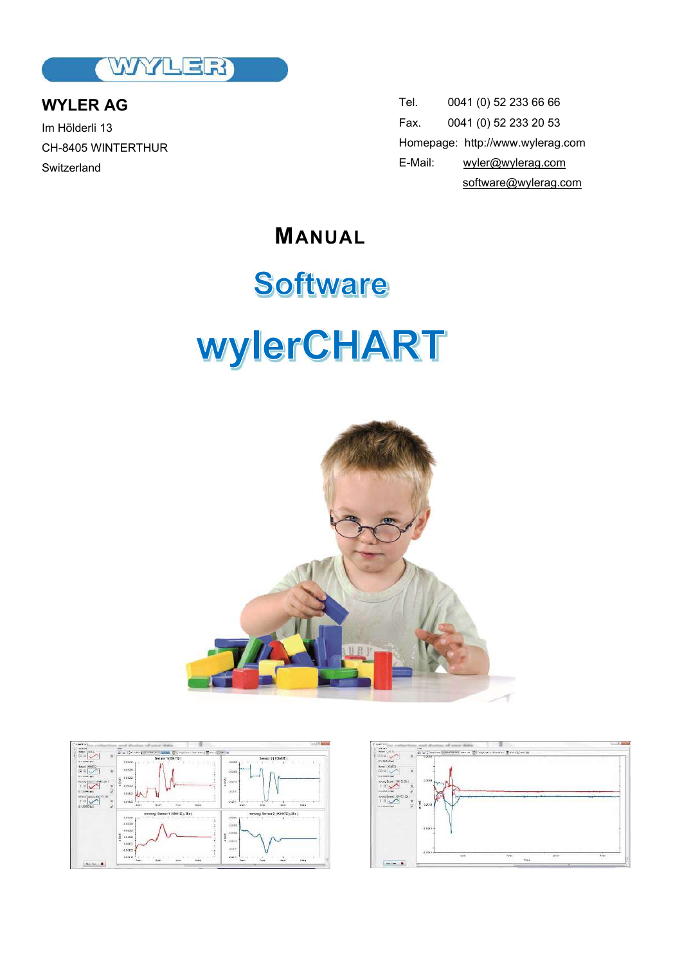

**WYLER AG** Im Hölderli 13 CH-8405 WINTERTHUR **Switzerland** 

Tel. 0041 (0) 52 233 66 66 Fax. 0041 (0) 52 233 20 53 Homepage: http://www.wylerag.com E-Mail: wyler@wylerag.com software@wylerag.com

**MANUAL**

# Software **wylerCHART**





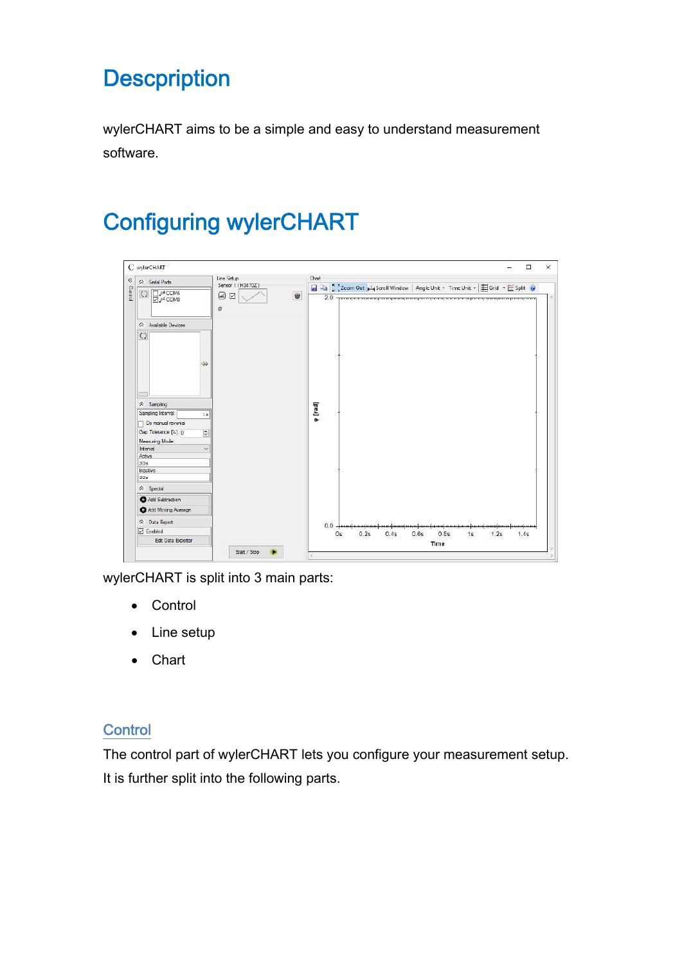### **Descpription**

wylerCHART aims to be a simple and easy to understand measurement software.

## Configuring wylerCHART

| C wylerCHART                                   |                   |                                                                                       | □    |
|------------------------------------------------|-------------------|---------------------------------------------------------------------------------------|------|
| △ Serial Ports                                 | Line Setup        | Chart                                                                                 |      |
|                                                | Sensor 1 (H3470Z) | ad 4a C Zoom Out plus Scroll Window   Angle Unit - Time Unit -   E Grid - E Split @   |      |
| $\circ$<br>TLef COM4<br>A COM3                 | Ù<br>⊗ ⊠<br>ø     | 2.0 - разводила вода напразна должения просторонно и совершения просторон просторонно |      |
| A Available Devices                            |                   |                                                                                       |      |
| $\Omega$                                       |                   |                                                                                       |      |
|                                                |                   |                                                                                       |      |
| ₩                                              |                   |                                                                                       |      |
|                                                |                   |                                                                                       |      |
| $\hat{\mathsf{R}}$ Sampling                    |                   |                                                                                       |      |
| Sampling Interval:<br>1e<br>Do manual reversal |                   | p [rad]                                                                               |      |
| Gap Tolerance [%]: 0<br>$\div$                 |                   |                                                                                       |      |
| Measuring Mode:                                |                   |                                                                                       |      |
| Interval<br>×                                  |                   |                                                                                       |      |
| Active<br>30s                                  |                   |                                                                                       |      |
| Inactive                                       |                   |                                                                                       |      |
| 30g                                            |                   |                                                                                       |      |
| $\hat{\lambda}$ Special                        |                   |                                                                                       |      |
| Add Subtraction                                |                   |                                                                                       |      |
| Add Moving Average                             |                   |                                                                                       |      |
| A Data Export                                  |                   | 0.0                                                                                   |      |
| <b>I</b> Enabled                               |                   | 0.2s<br>0.6s<br>0.8s<br>0s<br>0.4s<br>15<br>1.2s                                      | 1.4s |
| Edt Data Exporter                              |                   | Time                                                                                  |      |
|                                                | Start / Stop      |                                                                                       |      |

wylerCHART is split into 3 main parts:

- Control
- Line setup
- Chart

#### **Control**

The control part of wylerCHART lets you configure your measurement setup. It is further split into the following parts.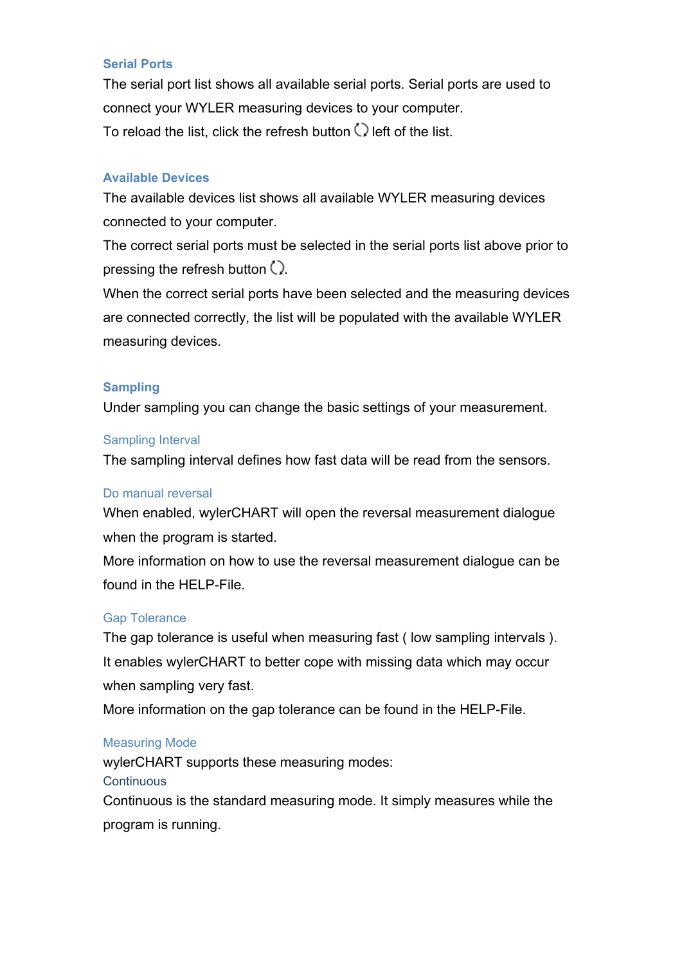#### **Serial Ports**

The serial port list shows all available serial ports. Serial ports are used to connect your WYLER measuring devices to your computer. To reload the list, click the refresh button  $\bigcirc$  left of the list.

#### **Available Devices**

The available devices list shows all available WYLER measuring devices connected to your computer.

The correct serial ports must be selected in the serial ports list above prior to pressing the refresh button  $Q$ .

When the correct serial ports have been selected and the measuring devices are connected correctly, the list will be populated with the available WYLER measuring devices.

#### **Sampling**

Under sampling you can change the basic settings of your measurement.

#### Sampling Interval

The sampling interval defines how fast data will be read from the sensors.

#### Do manual reversal

When enabled, wylerCHART will open the reversal measurement dialogue when the program is started.

More information on how to use the reversal measurement dialogue can be found in the HFI P-File.

#### Gap Tolerance

The gap tolerance is useful when measuring fast ( low sampling intervals ). It enables wylerCHART to better cope with missing data which may occur when sampling very fast.

More information on the gap tolerance can be found in the HELP-File.

#### Measuring Mode

wylerCHART supports these measuring modes: **Continuous** Continuous is the standard measuring mode. It simply measures while the program is running.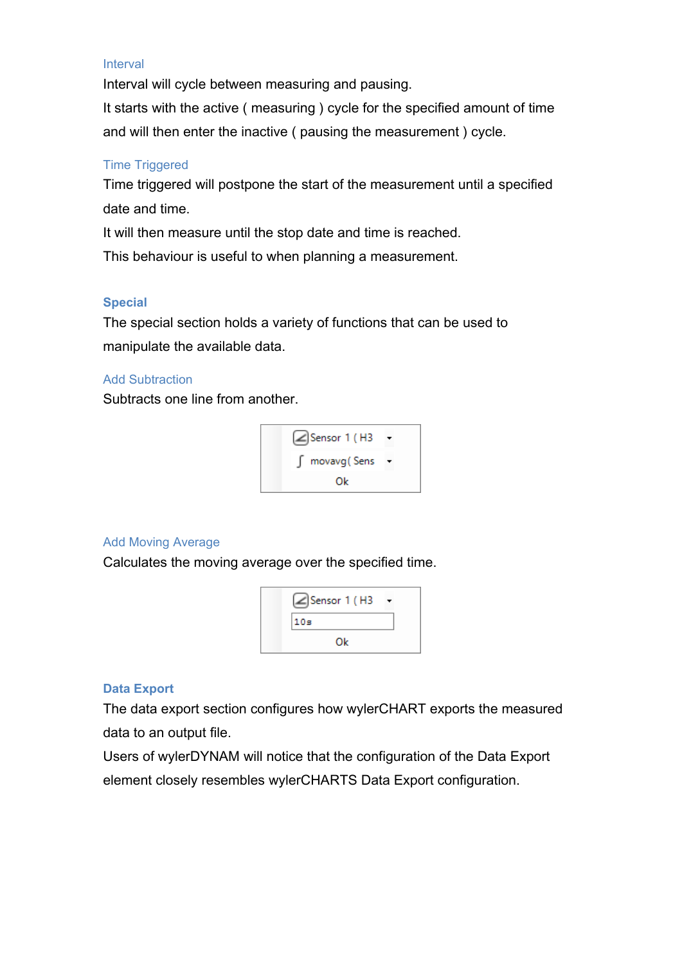#### Interval

Interval will cycle between measuring and pausing.

It starts with the active ( measuring ) cycle for the specified amount of time and will then enter the inactive ( pausing the measurement ) cycle.

#### Time Triggered

Time triggered will postpone the start of the measurement until a specified date and time.

It will then measure until the stop date and time is reached.

This behaviour is useful to when planning a measurement.

#### **Special**

The special section holds a variety of functions that can be used to manipulate the available data.

#### Add Subtraction

Subtracts one line from another.



#### Add Moving Average

Calculates the moving average over the specified time.



#### **Data Export**

The data export section configures how wylerCHART exports the measured data to an output file.

Users of wylerDYNAM will notice that the configuration of the Data Export element closely resembles wylerCHARTS Data Export configuration.